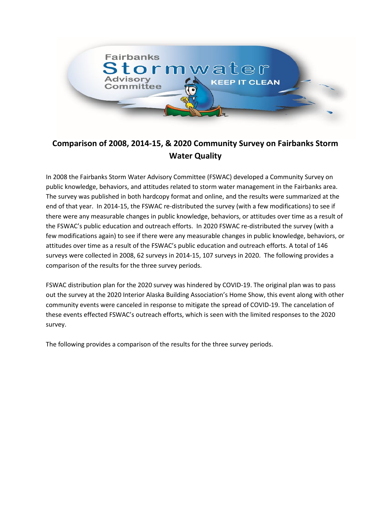

# **Comparison of 2008, 2014-15, & 2020 Community Survey on Fairbanks Storm Water Quality**

In 2008 the Fairbanks Storm Water Advisory Committee (FSWAC) developed a Community Survey on public knowledge, behaviors, and attitudes related to storm water management in the Fairbanks area. The survey was published in both hardcopy format and online, and the results were summarized at the end of that year. In 2014-15, the FSWAC re-distributed the survey (with a few modifications) to see if there were any measurable changes in public knowledge, behaviors, or attitudes over time as a result of the FSWAC's public education and outreach efforts. In 2020 FSWAC re-distributed the survey (with a few modifications again) to see if there were any measurable changes in public knowledge, behaviors, or attitudes over time as a result of the FSWAC's public education and outreach efforts. A total of 146 surveys were collected in 2008, 62 surveys in 2014-15, 107 surveys in 2020. The following provides a comparison of the results for the three survey periods.

FSWAC distribution plan for the 2020 survey was hindered by COVID-19. The original plan was to pass out the survey at the 2020 Interior Alaska Building Association's Home Show, this event along with other community events were canceled in response to mitigate the spread of COVID-19. The cancelation of these events effected FSWAC's outreach efforts, which is seen with the limited responses to the 2020 survey.

The following provides a comparison of the results for the three survey periods.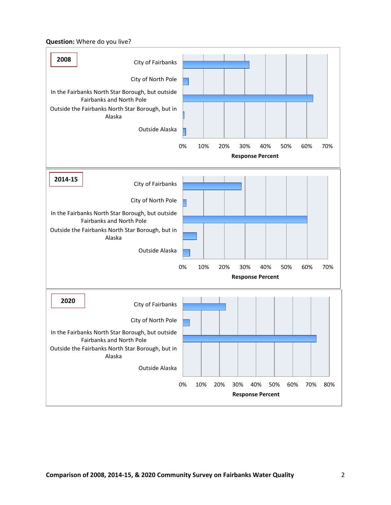#### **Question:** Where do you live?

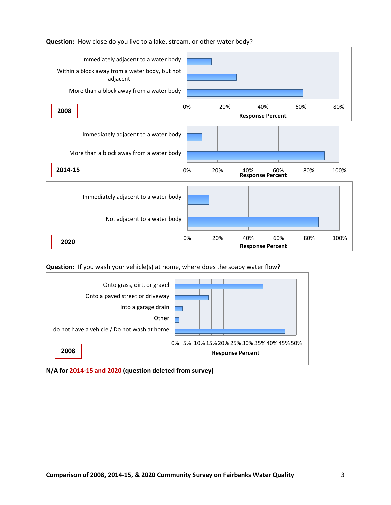

# **Question:** How close do you live to a lake, stream, or other water body?

**Question:** If you wash your vehicle(s) at home, where does the soapy water flow?



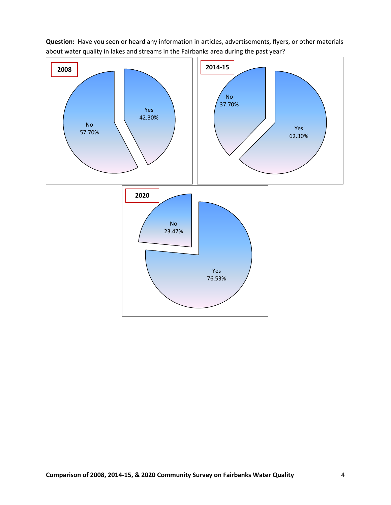

**Question:** Have you seen or heard any information in articles, advertisements, flyers, or other materials about water quality in lakes and streams in the Fairbanks area during the past year?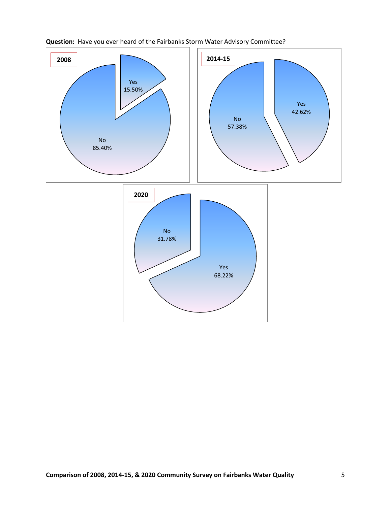

# **Question:** Have you ever heard of the Fairbanks Storm Water Advisory Committee?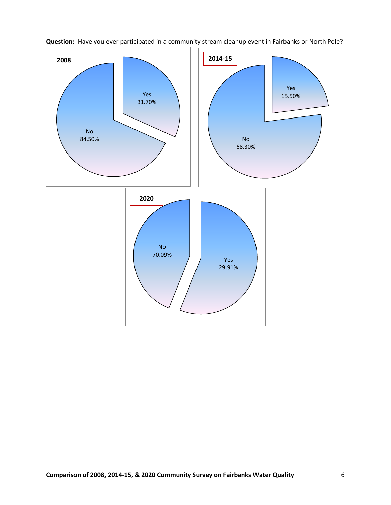

**Question:** Have you ever participated in a community stream cleanup event in Fairbanks or North Pole?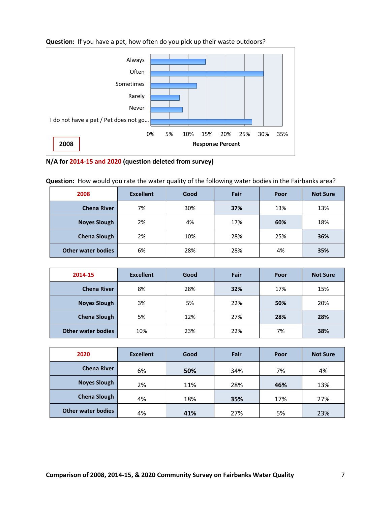

### **Question:** If you have a pet, how often do you pick up their waste outdoors?



**Question:** How would you rate the water quality of the following water bodies in the Fairbanks area?

| 2008                      | <b>Excellent</b> | Good | Fair | Poor | <b>Not Sure</b> |
|---------------------------|------------------|------|------|------|-----------------|
| <b>Chena River</b>        | 7%               | 30%  | 37%  | 13%  | 13%             |
| <b>Noyes Slough</b>       | 2%               | 4%   | 17%  | 60%  | 18%             |
| <b>Chena Slough</b>       | 2%               | 10%  | 28%  | 25%  | 36%             |
| <b>Other water bodies</b> | 6%               | 28%  | 28%  | 4%   | 35%             |

| 2014-15                   | <b>Excellent</b> | Good | Fair | Poor | <b>Not Sure</b> |
|---------------------------|------------------|------|------|------|-----------------|
| <b>Chena River</b>        | 8%               | 28%  | 32%  | 17%  | 15%             |
| <b>Noyes Slough</b>       | 3%               | 5%   | 22%  | 50%  | 20%             |
| <b>Chena Slough</b>       | 5%               | 12%  | 27%  | 28%  | 28%             |
| <b>Other water bodies</b> | 10%              | 23%  | 22%  | 7%   | 38%             |

| 2020                      | <b>Excellent</b> | Good | Fair | Poor | <b>Not Sure</b> |
|---------------------------|------------------|------|------|------|-----------------|
| <b>Chena River</b>        | 6%               | 50%  | 34%  | 7%   | 4%              |
| <b>Noyes Slough</b>       | 2%               | 11%  | 28%  | 46%  | 13%             |
| <b>Chena Slough</b>       | 4%               | 18%  | 35%  | 17%  | 27%             |
| <b>Other water bodies</b> | 4%               | 41%  | 27%  | 5%   | 23%             |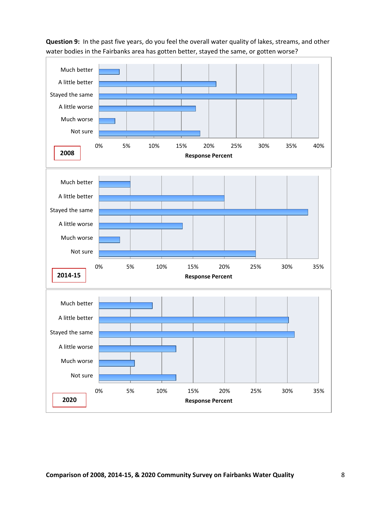**Question 9:** In the past five years, do you feel the overall water quality of lakes, streams, and other water bodies in the Fairbanks area has gotten better, stayed the same, or gotten worse?

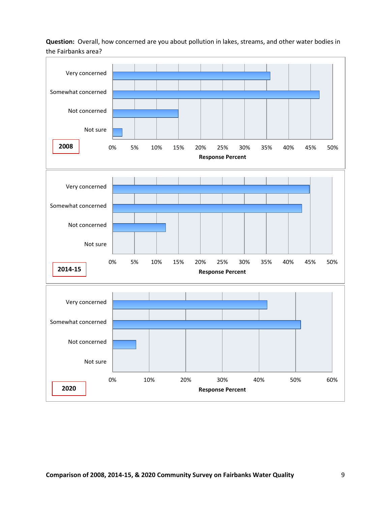**Question:** Overall, how concerned are you about pollution in lakes, streams, and other water bodies in the Fairbanks area?

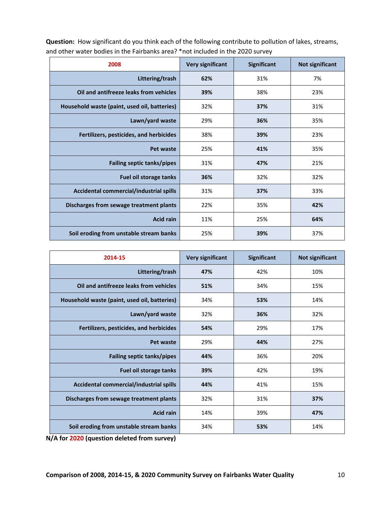| 2008                                         | <b>Very significant</b> | Significant | Not significant |
|----------------------------------------------|-------------------------|-------------|-----------------|
| Littering/trash                              | 62%                     | 31%         | 7%              |
| Oil and antifreeze leaks from vehicles       | 39%                     | 38%         | 23%             |
| Household waste (paint, used oil, batteries) | 32%                     | 37%         | 31%             |
| Lawn/yard waste                              | 29%                     | 36%         | 35%             |
| Fertilizers, pesticides, and herbicides      | 38%                     | 39%         | 23%             |
| Pet waste                                    | 25%                     | 41%         | 35%             |
| <b>Failing septic tanks/pipes</b>            | 31%                     | 47%         | 21%             |
| <b>Fuel oil storage tanks</b>                | 36%                     | 32%         | 32%             |
| Accidental commercial/industrial spills      | 31%                     | 37%         | 33%             |
| Discharges from sewage treatment plants      | 22%                     | 35%         | 42%             |
| <b>Acid rain</b>                             | 11%                     | 25%         | 64%             |
| Soil eroding from unstable stream banks      | 25%                     | 39%         | 37%             |

**Question:** How significant do you think each of the following contribute to pollution of lakes, streams, and other water bodies in the Fairbanks area? \*not included in the 2020 survey

| 2014-15                                      | <b>Very significant</b> | Significant | <b>Not significant</b> |
|----------------------------------------------|-------------------------|-------------|------------------------|
| Littering/trash                              | 47%                     | 42%         | 10%                    |
| Oil and antifreeze leaks from vehicles       | 51%                     | 34%         | 15%                    |
| Household waste (paint, used oil, batteries) | 34%                     | 53%         | 14%                    |
| Lawn/yard waste                              | 32%                     | 36%         | 32%                    |
| Fertilizers, pesticides, and herbicides      | 54%                     | 29%         | 17%                    |
| Pet waste                                    | 29%                     | 44%         | 27%                    |
| <b>Failing septic tanks/pipes</b>            | 44%                     | 36%         | 20%                    |
| Fuel oil storage tanks                       | 39%                     | 42%         | 19%                    |
| Accidental commercial/industrial spills      | 44%                     | 41%         | 15%                    |
| Discharges from sewage treatment plants      | 32%                     | 31%         | 37%                    |
| <b>Acid rain</b>                             | 14%                     | 39%         | 47%                    |
| Soil eroding from unstable stream banks      | 34%                     | 53%         | 14%                    |

**N/A for 2020 (question deleted from survey)**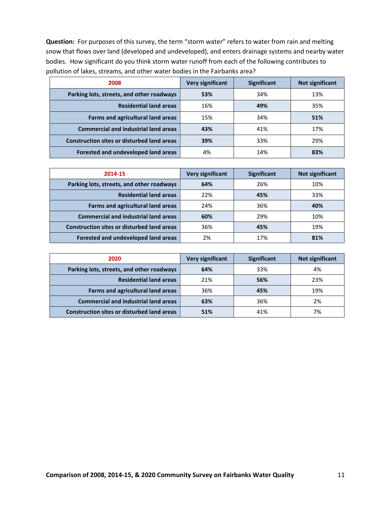**Question:** For purposes of this survey, the term "storm water" refers to water from rain and melting snow that flows over land (developed and undeveloped), and enters drainage systems and nearby water bodies. How significant do you think storm water runoff from each of the following contributes to pollution of lakes, streams, and other water bodies in the Fairbanks area?

| 2008                                              | <b>Very significant</b> | <b>Significant</b> | Not significant |
|---------------------------------------------------|-------------------------|--------------------|-----------------|
| Parking lots, streets, and other roadways         | 53%                     | 34%                | 13%             |
| <b>Residential land areas</b>                     | 16%                     | 49%                | 35%             |
| <b>Farms and agricultural land areas</b>          | 15%                     | 34%                | 51%             |
| <b>Commercial and industrial land areas</b>       | 43%                     | 41%                | 17%             |
| <b>Construction sites or disturbed land areas</b> | 39%                     | 33%                | 29%             |
| Forested and undeveloped land areas               | 4%                      | 14%                | 83%             |

| 2014-15                                           | <b>Very significant</b> | <b>Significant</b> | <b>Not significant</b> |
|---------------------------------------------------|-------------------------|--------------------|------------------------|
| Parking lots, streets, and other roadways         | 64%                     | 26%                | 10%                    |
| <b>Residential land areas</b>                     | 22%                     | 45%                | 33%                    |
| Farms and agricultural land areas                 | 24%                     | 36%                | 40%                    |
| <b>Commercial and industrial land areas</b>       | 60%                     | 29%                | 10%                    |
| <b>Construction sites or disturbed land areas</b> | 36%                     | 45%                | 19%                    |
| Forested and undeveloped land areas               | 2%                      | 17%                | 81%                    |

| 2020                                              | <b>Very significant</b> | <b>Significant</b> | Not significant |
|---------------------------------------------------|-------------------------|--------------------|-----------------|
| Parking lots, streets, and other roadways         | 64%                     | 33%                | 4%              |
| <b>Residential land areas</b>                     | 21%                     | 56%                | 23%             |
| Farms and agricultural land areas                 | 36%                     | 45%                | 19%             |
| <b>Commercial and industrial land areas</b>       | 63%                     | 36%                | 2%              |
| <b>Construction sites or disturbed land areas</b> | 51%                     | 41%                | 7%              |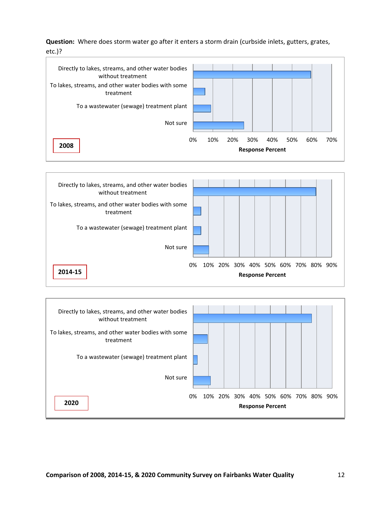**Question:** Where does storm water go after it enters a storm drain (curbside inlets, gutters, grates, etc.)?





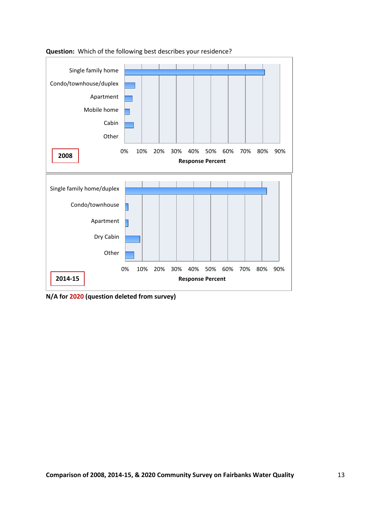

**Question:** Which of the following best describes your residence?

**N/A for 2020 (question deleted from survey)**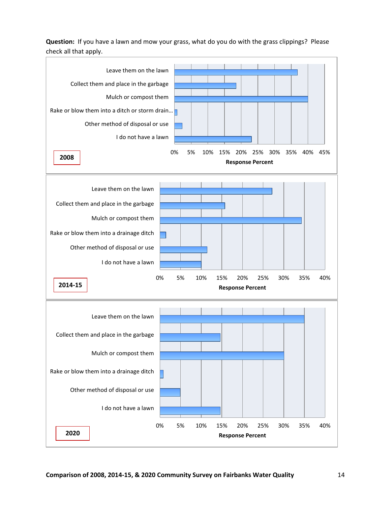**Question:** If you have a lawn and mow your grass, what do you do with the grass clippings? Please check all that apply.

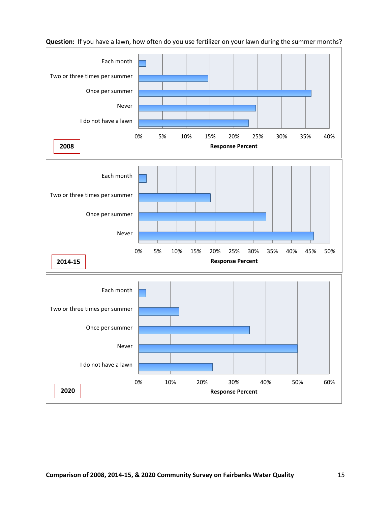

**Question:** If you have a lawn, how often do you use fertilizer on your lawn during the summer months?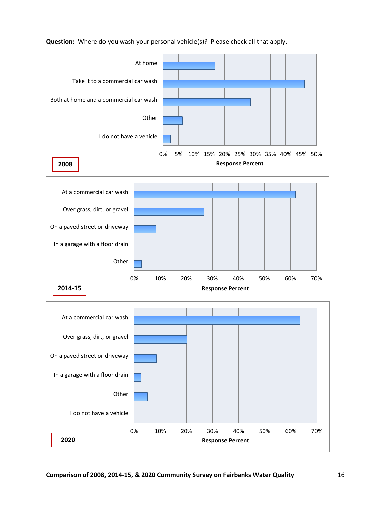

#### **Question:** Where do you wash your personal vehicle(s)? Please check all that apply.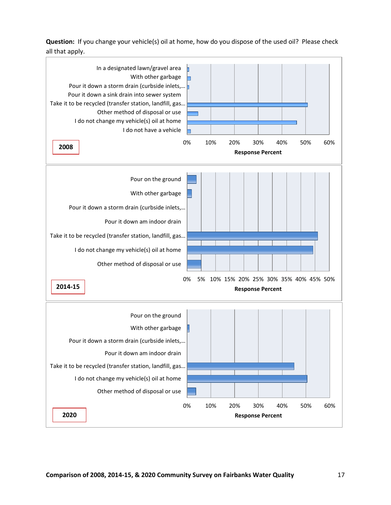**Question:** If you change your vehicle(s) oil at home, how do you dispose of the used oil? Please check all that apply.

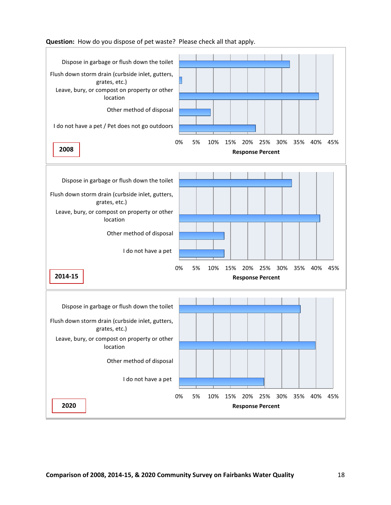

**Question:** How do you dispose of pet waste? Please check all that apply.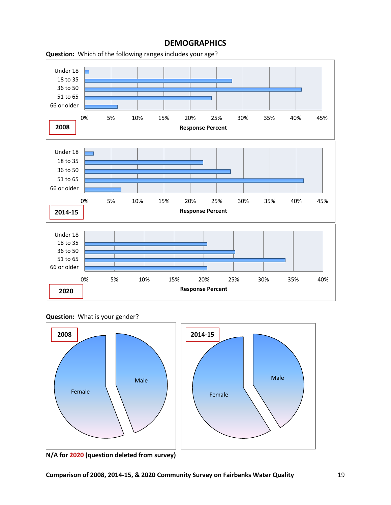

# **DEMOGRAPHICS**



**Question:** What is your gender?



**N/A for 2020 (question deleted from survey)**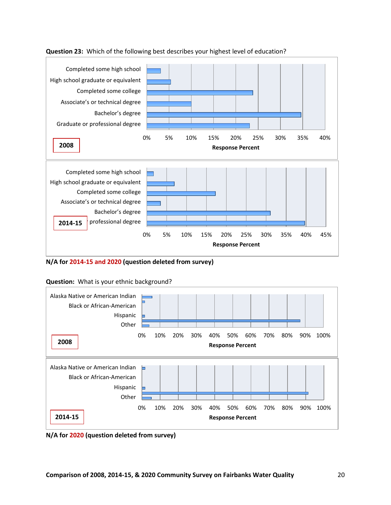

# **Question 23:** Which of the following best describes your highest level of education?

**N/A for 2014-15 and 2020 (question deleted from survey)**



# **Question:** What is your ethnic background?

**N/A for 2020 (question deleted from survey)**